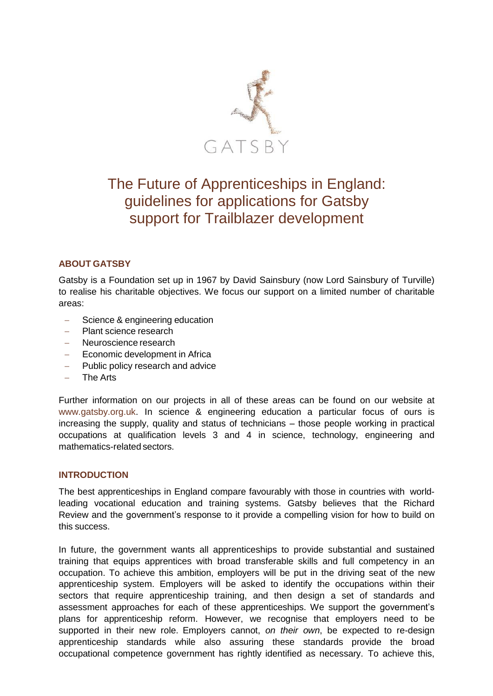

# The Future of Apprenticeships in England: guidelines for applications for Gatsby support for Trailblazer development

## **ABOUT GATSBY**

Gatsby is a Foundation set up in 1967 by David Sainsbury (now Lord Sainsbury of Turville) to realise his charitable objectives. We focus our support on a limited number of charitable areas:

- Science & engineering education
- Plant science research
- Neuroscience research
- Economic development in Africa
- Public policy research and advice
- $-$  The Arts

Further information on our projects in all of these areas can be found on our website at [www.gatsby.org.uk.](http://www.gatsby.org.uk/) In science & engineering education a particular focus of ours is increasing the supply, quality and status of technicians – those people working in practical occupations at qualification levels 3 and 4 in science, technology, engineering and mathematics-related sectors.

## **INTRODUCTION**

The best apprenticeships in England compare favourably with those in countries with worldleading vocational education and training systems. Gatsby believes that the Richard Review and the government's response to it provide a compelling vision for how to build on this success.

In future, the government wants all apprenticeships to provide substantial and sustained training that equips apprentices with broad transferable skills and full competency in an occupation. To achieve this ambition, employers will be put in the driving seat of the new apprenticeship system. Employers will be asked to identify the occupations within their sectors that require apprenticeship training, and then design a set of standards and assessment approaches for each of these apprenticeships. We support the government's plans for apprenticeship reform. However, we recognise that employers need to be supported in their new role. Employers cannot, *on their own*, be expected to re-design apprenticeship standards while also assuring these standards provide the broad occupational competence government has rightly identified as necessary. To achieve this,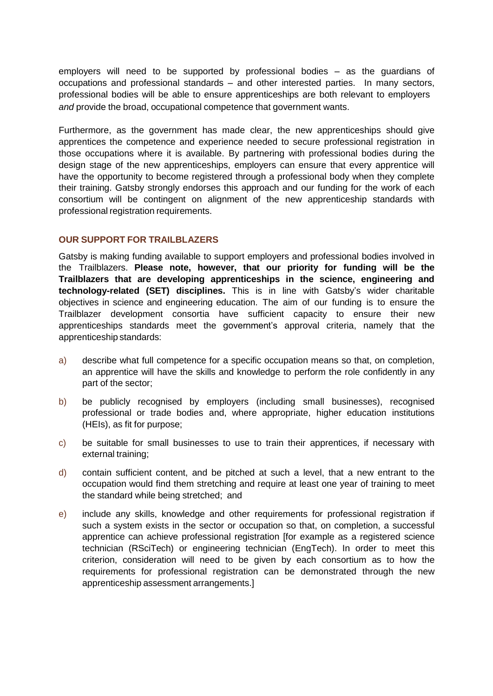employers will need to be supported by professional bodies – as the guardians of occupations and professional standards – and other interested parties. In many sectors, professional bodies will be able to ensure apprenticeships are both relevant to employers *and* provide the broad, occupational competence that government wants.

Furthermore, as the government has made clear, the new apprenticeships should give apprentices the competence and experience needed to secure professional registration in those occupations where it is available. By partnering with professional bodies during the design stage of the new apprenticeships, employers can ensure that every apprentice will have the opportunity to become registered through a professional body when they complete their training. Gatsby strongly endorses this approach and our funding for the work of each consortium will be contingent on alignment of the new apprenticeship standards with professional registration requirements.

## **OUR SUPPORT FOR TRAILBLAZERS**

Gatsby is making funding available to support employers and professional bodies involved in the Trailblazers. **Please note, however, that our priority for funding will be the Trailblazers that are developing apprenticeships in the science, engineering and technology-related (SET) disciplines.** This is in line with Gatsby's wider charitable objectives in science and engineering education. The aim of our funding is to ensure the Trailblazer development consortia have sufficient capacity to ensure their new apprenticeships standards meet the government's approval criteria, namely that the apprenticeship standards:

- a) describe what full competence for a specific occupation means so that, on completion, an apprentice will have the skills and knowledge to perform the role confidently in any part of the sector;
- b) be publicly recognised by employers (including small businesses), recognised professional or trade bodies and, where appropriate, higher education institutions (HEIs), as fit for purpose;
- c) be suitable for small businesses to use to train their apprentices, if necessary with external training;
- d) contain sufficient content, and be pitched at such a level, that a new entrant to the occupation would find them stretching and require at least one year of training to meet the standard while being stretched; and
- e) include any skills, knowledge and other requirements for professional registration if such a system exists in the sector or occupation so that, on completion, a successful apprentice can achieve professional registration [for example as a registered science technician (RSciTech) or engineering technician (EngTech). In order to meet this criterion, consideration will need to be given by each consortium as to how the requirements for professional registration can be demonstrated through the new apprenticeship assessment arrangements.]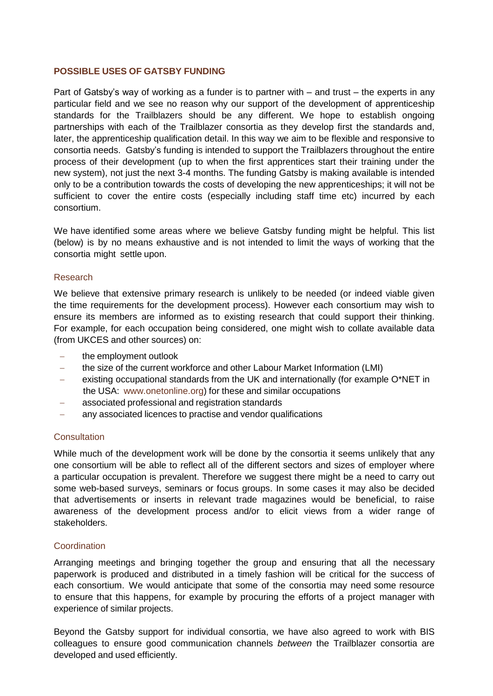## **POSSIBLE USES OF GATSBY FUNDING**

Part of Gatsby's way of working as a funder is to partner with – and trust – the experts in any particular field and we see no reason why our support of the development of apprenticeship standards for the Trailblazers should be any different. We hope to establish ongoing partnerships with each of the Trailblazer consortia as they develop first the standards and, later, the apprenticeship qualification detail. In this way we aim to be flexible and responsive to consortia needs. Gatsby's funding is intended to support the Trailblazers throughout the entire process of their development (up to when the first apprentices start their training under the new system), not just the next 3-4 months. The funding Gatsby is making available is intended only to be a contribution towards the costs of developing the new apprenticeships; it will not be sufficient to cover the entire costs (especially including staff time etc) incurred by each consortium.

We have identified some areas where we believe Gatsby funding might be helpful. This list (below) is by no means exhaustive and is not intended to limit the ways of working that the consortia might settle upon.

#### Research

We believe that extensive primary research is unlikely to be needed (or indeed viable given the time requirements for the development process). However each consortium may wish to ensure its members are informed as to existing research that could support their thinking. For example, for each occupation being considered, one might wish to collate available data (from UKCES and other sources) on:

- the employment outlook
- the size of the current workforce and other Labour Market Information (LMI)
- existing occupational standards from the UK and internationally (for example O\*NET in the USA: www.onetonline.org) for these and similar occupations
- associated professional and registration standards
- any associated licences to practise and vendor qualifications

## **Consultation**

While much of the development work will be done by the consortia it seems unlikely that any one consortium will be able to reflect all of the different sectors and sizes of employer where a particular occupation is prevalent. Therefore we suggest there might be a need to carry out some web-based surveys, seminars or focus groups. In some cases it may also be decided that advertisements or inserts in relevant trade magazines would be beneficial, to raise awareness of the development process and/or to elicit views from a wider range of stakeholders.

## **Coordination**

Arranging meetings and bringing together the group and ensuring that all the necessary paperwork is produced and distributed in a timely fashion will be critical for the success of each consortium. We would anticipate that some of the consortia may need some resource to ensure that this happens, for example by procuring the efforts of a project manager with experience of similar projects.

Beyond the Gatsby support for individual consortia, we have also agreed to work with BIS colleagues to ensure good communication channels *between* the Trailblazer consortia are developed and used efficiently.